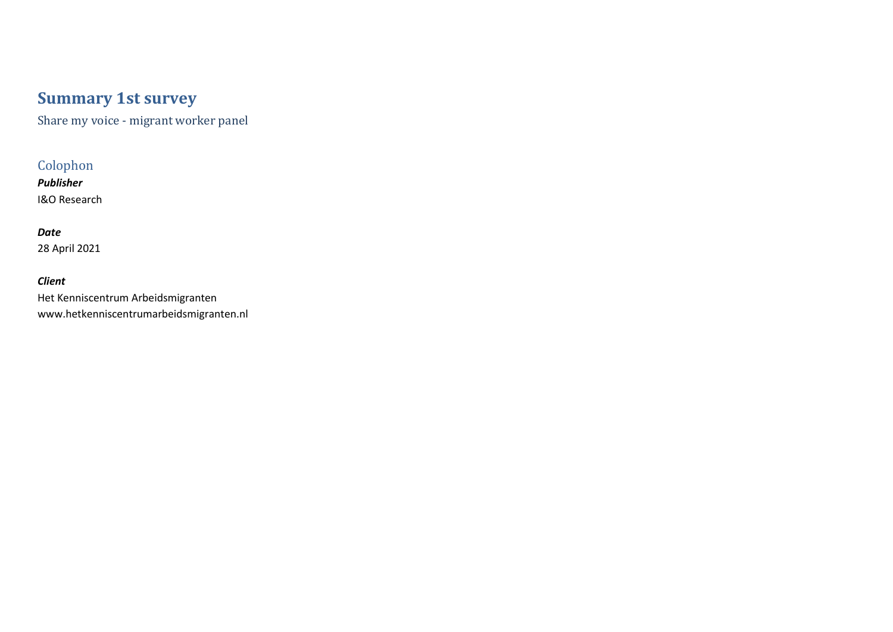# **Summary 1st survey**

Share my voice - migrant worker panel

## Colophon

*Publisher* I&O Research

## *Date* 28 April 2021

*Client* Het Kenniscentrum Arbeidsmigranten www.hetkenniscentrumarbeidsmigranten.nl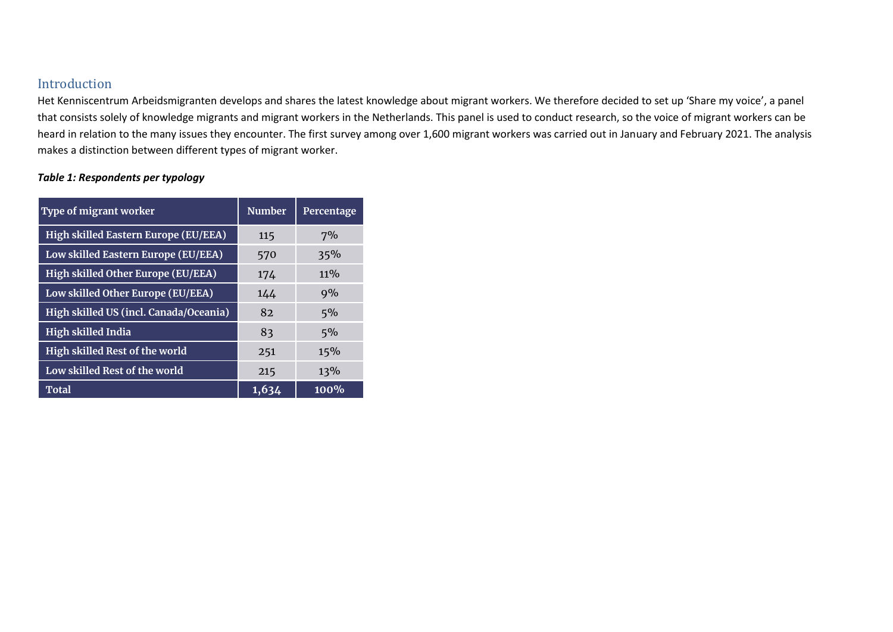### Introduction

Het Kenniscentrum Arbeidsmigranten develops and shares the latest knowledge about migrant workers. We therefore decided to set up 'Share my voice', a panel that consists solely of knowledge migrants and migrant workers in the Netherlands. This panel is used to conduct research, so the voice of migrant workers can be heard in relation to the many issues they encounter. The first survey among over 1,600 migrant workers was carried out in January and February 2021. The analysis makes a distinction between different types of migrant worker.

#### *Table 1: Respondents per typology*

| <b>Type of migrant worker</b>          | <b>Number</b> | Percentage |  |  |
|----------------------------------------|---------------|------------|--|--|
| High skilled Eastern Europe (EU/EEA)   | 115           | 7%         |  |  |
| Low skilled Eastern Europe (EU/EEA)    | 570           | 35%        |  |  |
| High skilled Other Europe (EU/EEA)     | 174           | $11\%$     |  |  |
| Low skilled Other Europe (EU/EEA)      | 144           | 9%         |  |  |
| High skilled US (incl. Canada/Oceania) | 82            | 5%         |  |  |
| <b>High skilled India</b>              | 83            | 5%         |  |  |
| High skilled Rest of the world         | 251           | 15%        |  |  |
| Low skilled Rest of the world          | 215           | 13%        |  |  |
| Total                                  | 1,634         | $100\%$    |  |  |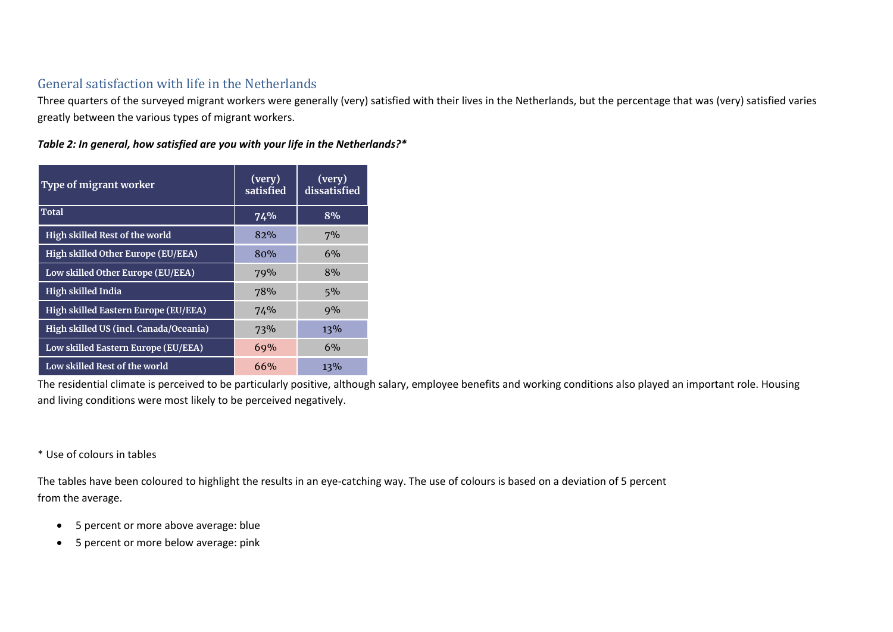## General satisfaction with life in the Netherlands

Three quarters of the surveyed migrant workers were generally (very) satisfied with their lives in the Netherlands, but the percentage that was (very) satisfied varies greatly between the various types of migrant workers.

*Table 2: In general, how satisfied are you with your life in the Netherlands?\** 

| Type of migrant worker                 | (very)<br>satisfied | (very)<br>dissatisfied |  |
|----------------------------------------|---------------------|------------------------|--|
| Total                                  | 74%                 | 8%                     |  |
| High skilled Rest of the world         | 82%                 | 7%                     |  |
| High skilled Other Europe (EU/EEA)     | 80%                 | 6%                     |  |
| Low skilled Other Europe (EU/EEA)      | 79%                 | 8%                     |  |
| <b>High skilled India</b>              | 78%                 | 5%                     |  |
| High skilled Eastern Europe (EU/EEA)   | 74%                 | 9%                     |  |
| High skilled US (incl. Canada/Oceania) | 73%                 | 13%                    |  |
| Low skilled Eastern Europe (EU/EEA)    | 69%                 | 6%                     |  |
| Low skilled Rest of the world          | 66%                 | 13%                    |  |

The residential climate is perceived to be particularly positive, although salary, employee benefits and working conditions also played an important role. Housing and living conditions were most likely to be perceived negatively.

\* Use of colours in tables

The tables have been coloured to highlight the results in an eye-catching way. The use of colours is based on a deviation of 5 percent from the average.

- 5 percent or more above average: blue
- 5 percent or more below average: pink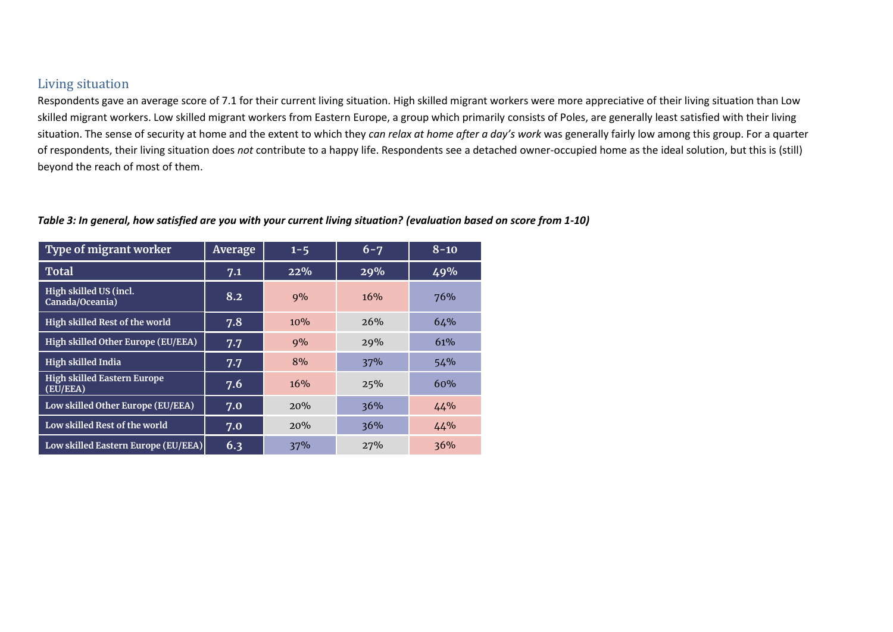### Living situation

Respondents gave an average score of 7.1 for their current living situation. High skilled migrant workers were more appreciative of their living situation than Low skilled migrant workers. Low skilled migrant workers from Eastern Europe, a group which primarily consists of Poles, are generally least satisfied with their living situation. The sense of security at home and the extent to which they *can relax at home after a day's work* was generally fairly low among this group. For a quarter of respondents, their living situation does *not* contribute to a happy life. Respondents see a detached owner-occupied home as the ideal solution, but this is (still) beyond the reach of most of them.

#### *Table 3: In general, how satisfied are you with your current living situation? (evaluation based on score from 1-10)*

| Type of migrant worker                         | Average          | $1 - 5$ | $6 - 7$ | $8 - 10$ |  |
|------------------------------------------------|------------------|---------|---------|----------|--|
| <b>Total</b>                                   | 7.1              | 22%     | 29%     | 49%      |  |
| High skilled US (incl.<br>Canada/Oceania)      | $8.\overline{2}$ | 9%      | 16%     | 76%      |  |
| High skilled Rest of the world                 | 7.8              | 10%     | 2.6%    | 64%      |  |
| High skilled Other Europe (EU/EEA)             | 7.7              | 9%      | 29%     | 61%      |  |
| High skilled India                             | 7.7              | 8%      | 37%     | 54%      |  |
| <b>High skilled Eastern Europe</b><br>(EU/EEA) | 7.6              | 16%     | 25%     | 60%      |  |
| Low skilled Other Europe (EU/EEA)              | 7.0              | 20%     | 36%     | 44%      |  |
| Low skilled Rest of the world                  | 7.0              | 20%     | 36%     | 44%      |  |
| Low skilled Eastern Europe (EU/EEA)            | 6.3              | 37%     | 27%     | 36%      |  |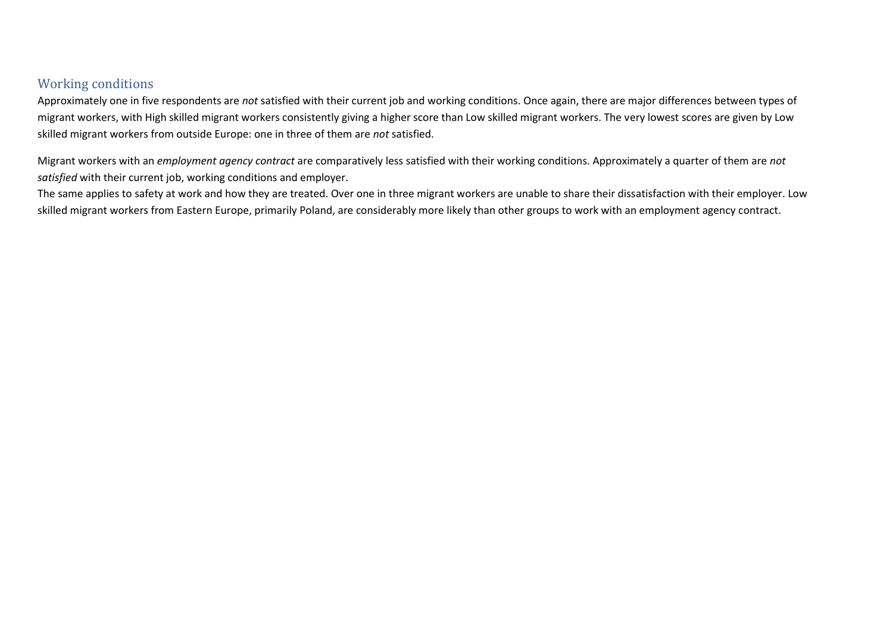## Working conditions

Approximately one in five respondents are *not* satisfied with their current job and working conditions. Once again, there are major differences between types of migrant workers, with High skilled migrant workers consistently giving a higher score than Low skilled migrant workers. The very lowest scores are given by Low skilled migrant workers from outside Europe: one in three of them are *not* satisfied.

Migrant workers with an *employment agency contract* are comparatively less satisfied with their working conditions. Approximately a quarter of them are *not satisfied* with their current job, working conditions and employer.

The same applies to safety at work and how they are treated. Over one in three migrant workers are unable to share their dissatisfaction with their employer. Low skilled migrant workers from Eastern Europe, primarily Poland, are considerably more likely than other groups to work with an employment agency contract.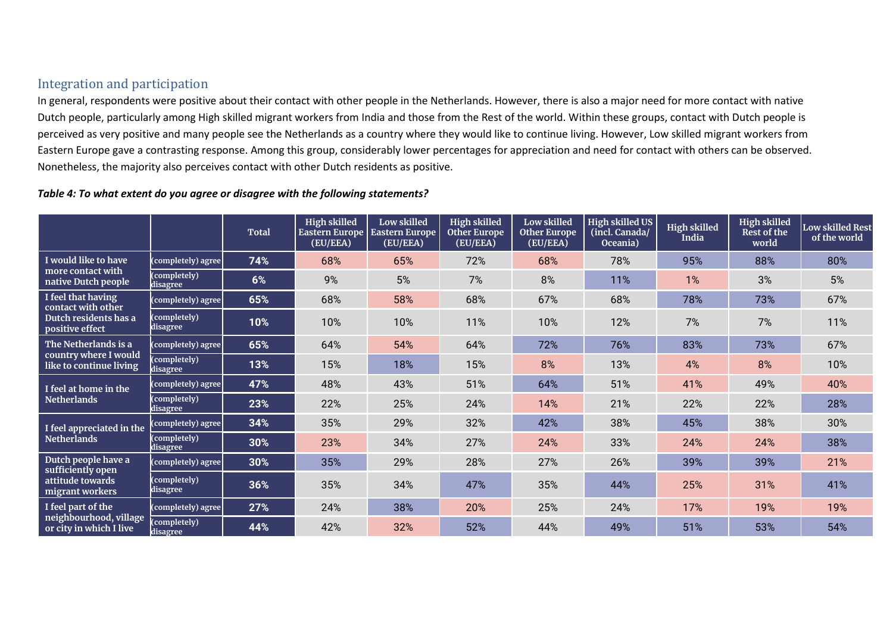## Integration and participation

In general, respondents were positive about their contact with other people in the Netherlands. However, there is also a major need for more contact with native Dutch people, particularly among High skilled migrant workers from India and those from the Rest of the world. Within these groups, contact with Dutch people is perceived as very positive and many people see the Netherlands as a country where they would like to continue living. However, Low skilled migrant workers from Eastern Europe gave a contrasting response. Among this group, considerably lower percentages for appreciation and need for contact with others can be observed. Nonetheless, the majority also perceives contact with other Dutch residents as positive.

#### *Table 4: To what extent do you agree or disagree with the following statements?*

|                                                                                      |                          | <b>Total</b> | <b>High skilled</b><br><b>Eastern Europe</b><br>(EU/EEA) | Low skilled<br>Eastern Europe<br>(EU/EEA) | <b>High skilled</b><br><b>Other Europe</b><br>(EU/EEA) | Low skilled<br><b>Other Europe</b><br>(EU/EEA) | <b>High skilled US</b><br>(incl. Canada/<br>Oceania) | <b>High skilled</b><br>India | <b>High skilled</b><br>Rest of the<br>world | <b>Low skilled Rest</b><br>of the world |
|--------------------------------------------------------------------------------------|--------------------------|--------------|----------------------------------------------------------|-------------------------------------------|--------------------------------------------------------|------------------------------------------------|------------------------------------------------------|------------------------------|---------------------------------------------|-----------------------------------------|
| I would like to have<br>more contact with<br>native Dutch people                     | (completely) agree       | 74%          | 68%                                                      | 65%                                       | 72%                                                    | 68%                                            | 78%                                                  | 95%                          | 88%                                         | 80%                                     |
|                                                                                      | (completely)<br>disagree | 6%           | 9%                                                       | 5%                                        | 7%                                                     | 8%                                             | 11%                                                  | 1%                           | 3%                                          | 5%                                      |
| I feel that having<br>contact with other<br>Dutch residents has a<br>positive effect | (completely) agree       | 65%          | 68%                                                      | 58%                                       | 68%                                                    | 67%                                            | 68%                                                  | 78%                          | 73%                                         | 67%                                     |
|                                                                                      | (completely)<br>disagree | 10%          | 10%                                                      | 10%                                       | 11%                                                    | 10%                                            | 12%                                                  | 7%                           | 7%                                          | 11%                                     |
| The Netherlands is a<br>country where I would<br>like to continue living             | (completely) agree       | 65%          | 64%                                                      | 54%                                       | 64%                                                    | 72%                                            | 76%                                                  | 83%                          | 73%                                         | 67%                                     |
|                                                                                      | (completely)<br>disagree | 13%          | 15%                                                      | 18%                                       | 15%                                                    | 8%                                             | 13%                                                  | 4%                           | 8%                                          | 10%                                     |
| I feel at home in the<br>Netherlands                                                 | (completely) agree       | 47%          | 48%                                                      | 43%                                       | 51%                                                    | 64%                                            | 51%                                                  | 41%                          | 49%                                         | 40%                                     |
|                                                                                      | (completely)<br>disagree | 23%          | 22%                                                      | 25%                                       | 24%                                                    | 14%                                            | 21%                                                  | 22%                          | 22%                                         | 28%                                     |
| I feel appreciated in the<br><b>Netherlands</b>                                      | (completely) agree       | 34%          | 35%                                                      | 29%                                       | 32%                                                    | 42%                                            | 38%                                                  | 45%                          | 38%                                         | 30%                                     |
|                                                                                      | (completely)<br>disagree | 30%          | 23%                                                      | 34%                                       | 27%                                                    | 24%                                            | 33%                                                  | 24%                          | 24%                                         | 38%                                     |
| Dutch people have a<br>sufficiently open<br>attitude towards<br>migrant workers      | (completely) agree       | 30%          | 35%                                                      | 29%                                       | 28%                                                    | 27%                                            | 26%                                                  | 39%                          | 39%                                         | 21%                                     |
|                                                                                      | (completely)<br>disagree | 36%          | 35%                                                      | 34%                                       | 47%                                                    | 35%                                            | 44%                                                  | 25%                          | 31%                                         | 41%                                     |
| I feel part of the<br>neighbourhood, village<br>or city in which I live              | (completely) agree       | 27%          | 24%                                                      | 38%                                       | 20%                                                    | 25%                                            | 24%                                                  | 17%                          | 19%                                         | 19%                                     |
|                                                                                      | completely)<br>disagree  | 44%          | 42%                                                      | 32%                                       | 52%                                                    | 44%                                            | 49%                                                  | 51%                          | 53%                                         | 54%                                     |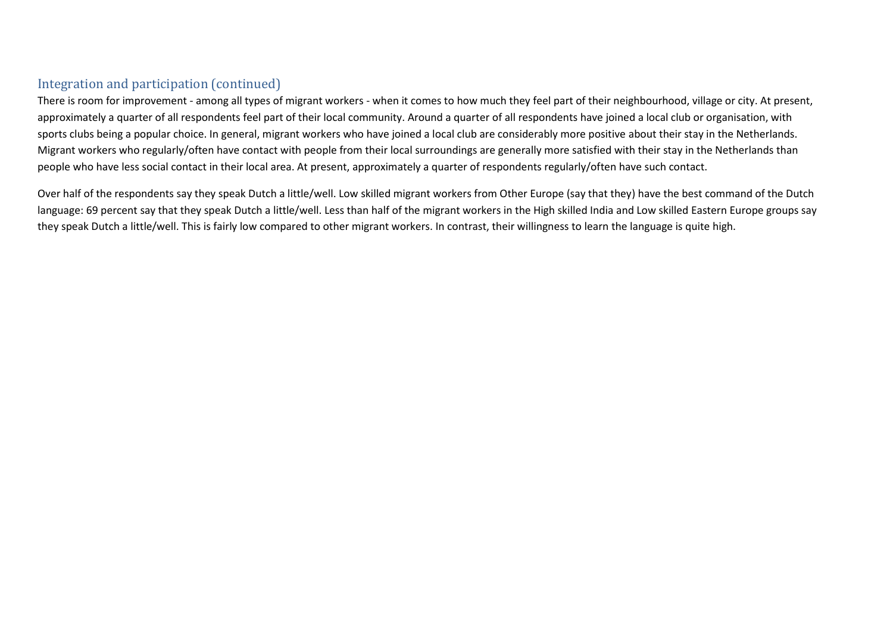## Integration and participation (continued)

There is room for improvement - among all types of migrant workers - when it comes to how much they feel part of their neighbourhood, village or city. At present, approximately a quarter of all respondents feel part of their local community. Around a quarter of all respondents have joined a local club or organisation, with sports clubs being a popular choice. In general, migrant workers who have joined a local club are considerably more positive about their stay in the Netherlands. Migrant workers who regularly/often have contact with people from their local surroundings are generally more satisfied with their stay in the Netherlands than people who have less social contact in their local area. At present, approximately a quarter of respondents regularly/often have such contact.

Over half of the respondents say they speak Dutch a little/well. Low skilled migrant workers from Other Europe (say that they) have the best command of the Dutch language: 69 percent say that they speak Dutch a little/well. Less than half of the migrant workers in the High skilled India and Low skilled Eastern Europe groups say they speak Dutch a little/well. This is fairly low compared to other migrant workers. In contrast, their willingness to learn the language is quite high.